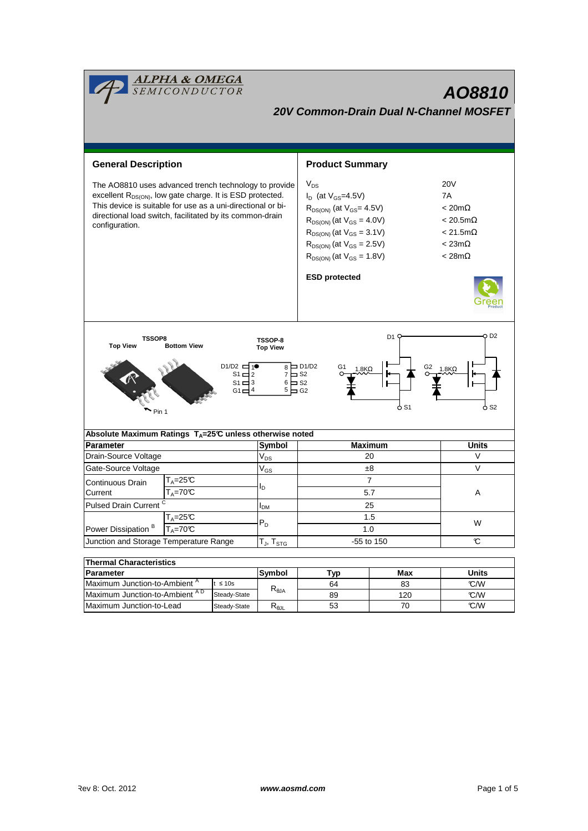| <mark>ALPHA &amp; OMEGA</mark><br>SEMICONDUCTOR<br><b>AO8810</b><br><b>20V Common-Drain Dual N-Channel MOSFET</b>                                                                                                                                                                                                                                                                 |                                             |                 |                            |                                                                                                                                                                                                                                                             |               |                                                                                                                               |  |  |  |  |  |  |
|-----------------------------------------------------------------------------------------------------------------------------------------------------------------------------------------------------------------------------------------------------------------------------------------------------------------------------------------------------------------------------------|---------------------------------------------|-----------------|----------------------------|-------------------------------------------------------------------------------------------------------------------------------------------------------------------------------------------------------------------------------------------------------------|---------------|-------------------------------------------------------------------------------------------------------------------------------|--|--|--|--|--|--|
| <b>General Description</b>                                                                                                                                                                                                                                                                                                                                                        |                                             |                 |                            | <b>Product Summary</b>                                                                                                                                                                                                                                      |               |                                                                                                                               |  |  |  |  |  |  |
| The AO8810 uses advanced trench technology to provide<br>excellent R <sub>DS(ON)</sub> , low gate charge. It is ESD protected.<br>This device is suitable for use as a uni-directional or bi-<br>directional load switch, facilitated by its common-drain<br>configuration.                                                                                                       |                                             |                 |                            | $V_{DS}$<br>$I_D$ (at $V_{GS}$ =4.5V)<br>$R_{DS(ON)}$ (at $V_{GS} = 4.5V$ )<br>$R_{DS(ON)}$ (at $V_{GS} = 4.0V$ )<br>$R_{DS(ON)}$ (at $V_{GS} = 3.1V$ )<br>$R_{DS(ON)}$ (at $V_{GS} = 2.5V$ )<br>$R_{DS(ON)}$ (at $V_{GS} = 1.8V$ )<br><b>ESD protected</b> |               | <b>20V</b><br>7A<br>$< 20 \text{m}\Omega$<br>$< 20.5$ m $\Omega$<br>$< 21.5 \text{m}\Omega$<br>$< 23m\Omega$<br>$< 28m\Omega$ |  |  |  |  |  |  |
| D <sub>2</sub><br>D1<br><b>TSSOP8</b><br>TSSOP-8<br><b>Top View</b><br><b>Bottom View</b><br><b>Top View</b><br>D <sub>1</sub> /D <sub>2</sub> $\frac{1}{1}$<br>$_8$ $\Box$ D1/D2<br>G <sub>2</sub> $1.8K\Omega$<br>G1<br>$1.8K\Omega$<br>$7 \square$ S <sub>2</sub><br>$S1 \Box$<br>2<br>$6 \Box$ S <sub>2</sub><br>S1 $\Box$ 3<br>$5 \square$ G2<br>G1<br>o S2<br>O S1<br>Pin 1 |                                             |                 |                            |                                                                                                                                                                                                                                                             |               |                                                                                                                               |  |  |  |  |  |  |
| Absolute Maximum Ratings $T_A = 25^\circ \text{C}$ unless otherwise noted                                                                                                                                                                                                                                                                                                         |                                             |                 |                            |                                                                                                                                                                                                                                                             |               |                                                                                                                               |  |  |  |  |  |  |
| <b>Parameter</b>                                                                                                                                                                                                                                                                                                                                                                  |                                             |                 | Symbol                     | <b>Maximum</b>                                                                                                                                                                                                                                              |               | <b>Units</b>                                                                                                                  |  |  |  |  |  |  |
| Drain-Source Voltage                                                                                                                                                                                                                                                                                                                                                              |                                             |                 | $\mathsf{V}_{\mathsf{DS}}$ | 20                                                                                                                                                                                                                                                          |               | V                                                                                                                             |  |  |  |  |  |  |
| Gate-Source Voltage                                                                                                                                                                                                                                                                                                                                                               |                                             |                 | $\mathsf{V}_{\mathsf{GS}}$ | ±8                                                                                                                                                                                                                                                          |               | V                                                                                                                             |  |  |  |  |  |  |
| $T_{\text{A}} = 25 \text{C}$<br>Continuous Drain                                                                                                                                                                                                                                                                                                                                  |                                             |                 |                            | 7                                                                                                                                                                                                                                                           |               |                                                                                                                               |  |  |  |  |  |  |
| $T_A = 70C$<br>Current                                                                                                                                                                                                                                                                                                                                                            |                                             |                 | l <sub>D</sub>             | 5.7                                                                                                                                                                                                                                                         |               | A                                                                                                                             |  |  |  |  |  |  |
| Pulsed Drain Current <sup>C</sup>                                                                                                                                                                                                                                                                                                                                                 |                                             |                 | I <sub>DМ</sub>            | 25                                                                                                                                                                                                                                                          |               |                                                                                                                               |  |  |  |  |  |  |
| $T_A = 25C$                                                                                                                                                                                                                                                                                                                                                                       |                                             |                 |                            | 1.5                                                                                                                                                                                                                                                         |               |                                                                                                                               |  |  |  |  |  |  |
| Power Dissipation <sup>B</sup>                                                                                                                                                                                                                                                                                                                                                    | $T_A = 70$ <sup><math>\text{C}</math></sup> |                 | $P_D$                      | 1.0                                                                                                                                                                                                                                                         |               | W                                                                                                                             |  |  |  |  |  |  |
| Junction and Storage Temperature Range                                                                                                                                                                                                                                                                                                                                            |                                             |                 | $T_J$ , $T_{STG}$          | -55 to 150                                                                                                                                                                                                                                                  | $\mathcal{C}$ |                                                                                                                               |  |  |  |  |  |  |
|                                                                                                                                                                                                                                                                                                                                                                                   |                                             |                 |                            |                                                                                                                                                                                                                                                             |               |                                                                                                                               |  |  |  |  |  |  |
| <b>Thermal Characteristics</b>                                                                                                                                                                                                                                                                                                                                                    |                                             |                 |                            |                                                                                                                                                                                                                                                             |               |                                                                                                                               |  |  |  |  |  |  |
| Parameter                                                                                                                                                                                                                                                                                                                                                                         |                                             |                 | Symbol                     | <b>Typ</b>                                                                                                                                                                                                                                                  | <b>Max</b>    | <b>Units</b>                                                                                                                  |  |  |  |  |  |  |
| Maximum Junction-to-Ambient <sup>A</sup><br>$t \leq 10s$<br>Maximum Junction-to-Ambient AD                                                                                                                                                                                                                                                                                        |                                             | $R_{\theta$ JA  | 64<br>83                   |                                                                                                                                                                                                                                                             | C/W           |                                                                                                                               |  |  |  |  |  |  |
| Steady-State                                                                                                                                                                                                                                                                                                                                                                      |                                             |                 |                            | 89                                                                                                                                                                                                                                                          | 120           | °C/W                                                                                                                          |  |  |  |  |  |  |
| Maximum Junction-to-Lead<br>Steady-State                                                                                                                                                                                                                                                                                                                                          |                                             | $R_{\theta JL}$ | 53                         | 70                                                                                                                                                                                                                                                          | C/W           |                                                                                                                               |  |  |  |  |  |  |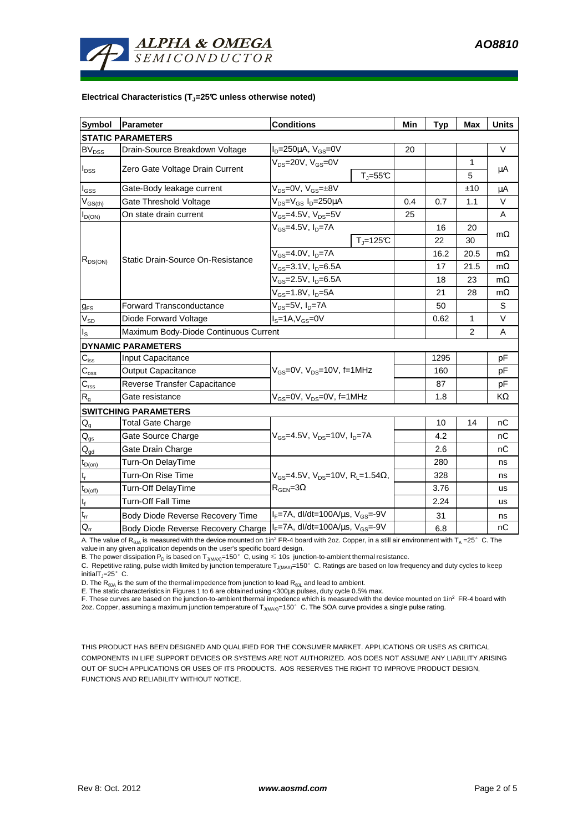

## **Electrical Characteristics (TJ=25°C unless otherwise noted)**

| <b>Symbol</b>              | <b>Parameter</b>                                                               | <b>Conditions</b>                                                                            |                      | Min  | <b>Typ</b> | <b>Max</b> | <b>Units</b> |  |  |  |  |  |
|----------------------------|--------------------------------------------------------------------------------|----------------------------------------------------------------------------------------------|----------------------|------|------------|------------|--------------|--|--|--|--|--|
| <b>STATIC PARAMETERS</b>   |                                                                                |                                                                                              |                      |      |            |            |              |  |  |  |  |  |
| <b>BV</b> <sub>DSS</sub>   | Drain-Source Breakdown Voltage                                                 | $I_D = 250 \mu A$ , $V_{GS} = 0V$                                                            |                      | 20   |            |            | V            |  |  |  |  |  |
| $I_{DSS}$                  |                                                                                | $V_{DS}$ =20V, $V_{GS}$ =0V                                                                  |                      |      | 1          | μA         |              |  |  |  |  |  |
|                            | Zero Gate Voltage Drain Current                                                | $T_{J} = 55$ °C                                                                              |                      |      |            |            | 5            |  |  |  |  |  |
| $I_{GSS}$                  | Gate-Body leakage current                                                      | $V_{DS} = 0V$ , $V_{GS} = \pm 8V$                                                            |                      |      |            | ±10        | μA           |  |  |  |  |  |
| $V_{GS(th)}$               | Gate Threshold Voltage                                                         | V <sub>DS</sub> =V <sub>GS</sub> I <sub>D</sub> =250µA                                       |                      | 0.4  | 0.7        | 1.1        | V            |  |  |  |  |  |
| $I_{D(ON)}$                | On state drain current                                                         | $V_{GS}$ =4.5V, $V_{DS}$ =5V                                                                 |                      | 25   |            |            | A            |  |  |  |  |  |
| $R_{DS(ON)}$               | Static Drain-Source On-Resistance                                              | $V_{GS}$ =4.5V, $I_{D}$ =7A                                                                  |                      |      | 16         | 20         | $m\Omega$    |  |  |  |  |  |
|                            |                                                                                |                                                                                              | $T_{\rm J}$ =125 $C$ |      | 22         | 30         |              |  |  |  |  |  |
|                            |                                                                                | $V_{GS}$ =4.0V, $I_{D}$ =7A                                                                  |                      |      | 16.2       | 20.5       | $m\Omega$    |  |  |  |  |  |
|                            |                                                                                | $V_{GS} = 3.1 V, I_D = 6.5 A$                                                                |                      |      | 17         | 21.5       | $m\Omega$    |  |  |  |  |  |
|                            |                                                                                | V <sub>GS</sub> =2.5V, I <sub>D</sub> =6.5A                                                  |                      |      | 18         | 23         | $m\Omega$    |  |  |  |  |  |
|                            |                                                                                | $V_{GS}$ =1.8V, $I_D$ =5A                                                                    |                      | 21   | 28         | $m\Omega$  |              |  |  |  |  |  |
| $g_{FS}$                   | <b>Forward Transconductance</b>                                                | $V_{DS}=5V$ , $I_D=7A$                                                                       |                      |      | 50         |            | S            |  |  |  |  |  |
| $\mathsf{V}_{\mathsf{SD}}$ | Diode Forward Voltage                                                          | $IS=1A, VGS=0V$                                                                              |                      |      | 0.62       | 1          | V            |  |  |  |  |  |
| $I_{\rm S}$                | Maximum Body-Diode Continuous Current                                          |                                                                                              |                      | 2    | A          |            |              |  |  |  |  |  |
|                            | <b>DYNAMIC PARAMETERS</b>                                                      |                                                                                              |                      |      |            |            |              |  |  |  |  |  |
| $\mathbf{C}_{\text{iss}}$  | Input Capacitance                                                              |                                                                                              |                      |      | 1295       |            | pF           |  |  |  |  |  |
| $C_{\rm oss}$              | <b>Output Capacitance</b>                                                      | $V_{GS}$ =0V, $V_{DS}$ =10V, f=1MHz                                                          |                      |      | 160        |            | pF           |  |  |  |  |  |
| $C_{\text{rss}}$           | Reverse Transfer Capacitance                                                   |                                                                                              |                      |      | 87         |            | pF           |  |  |  |  |  |
| R <sub>g</sub>             | Gate resistance                                                                | $V_{GS}$ =0V, $V_{DS}$ =0V, f=1MHz                                                           |                      |      | 1.8        |            | KΩ           |  |  |  |  |  |
|                            | <b>SWITCHING PARAMETERS</b>                                                    |                                                                                              |                      |      |            |            |              |  |  |  |  |  |
| $Q_g$                      | <b>Total Gate Charge</b>                                                       | $V_{\text{GS}} = 4.5V$ , $V_{\text{DS}} = 10V$ , $I_{\text{D}} = 7A$                         |                      |      | 10         | 14         | nC           |  |  |  |  |  |
| $\mathsf{Q}_{\text{gs}}$   | Gate Source Charge                                                             |                                                                                              |                      |      | 4.2        |            | nC           |  |  |  |  |  |
| $Q_{gd}$                   | Gate Drain Charge                                                              |                                                                                              |                      |      | 2.6        |            | nС           |  |  |  |  |  |
| $t_{D(on)}$                | Turn-On DelayTime                                                              |                                                                                              |                      |      | 280        |            | ns           |  |  |  |  |  |
| $t_r$                      | Turn-On Rise Time                                                              | $V_{GS}$ =4.5V, $V_{DS}$ =10V, R <sub>L</sub> =1.54 $\Omega$ ,<br>$R_{\text{GEN}} = 3\Omega$ |                      |      | 328        |            | ns           |  |  |  |  |  |
| $t_{D(off)}$               | Turn-Off DelayTime                                                             |                                                                                              |                      |      | 3.76       |            | <b>us</b>    |  |  |  |  |  |
| $t_f$                      | Turn-Off Fall Time                                                             |                                                                                              |                      | 2.24 |            | us         |              |  |  |  |  |  |
| $\mathfrak{t}_{\text{rr}}$ | Body Diode Reverse Recovery Time                                               | $I_F$ =7A, dl/dt=100A/ $\mu$ s, V <sub>GS</sub> =-9V                                         |                      |      | 31         |            | ns           |  |  |  |  |  |
| $Q_{\rm rr}$               | Body Diode Reverse Recovery Charge   F=7A, dl/dt=100A/us, V <sub>GS</sub> =-9V |                                                                                              |                      |      | 6.8        |            | nC           |  |  |  |  |  |

A. The value of R<sub>ala</sub> is measured with the device mounted on 1in<sup>2</sup> FR-4 board with 2oz. Copper, in a still air environment with T<sub>a</sub> =25°C. The value in any given application depends on the user's specific board design.

B. The power dissipation P<sub>D</sub> is based on T<sub>J(MAX)</sub>=150°C, using  $\leq 10$ s junction-to-ambient thermal resistance.

C. Repetitive rating, pulse width limited by junction temperature  $T_{J(MAX)}$ =150°C. Ratings are based on low frequency and duty cycles to keep initialT $_{\parallel}$ =25°C.

D. The R<sub>6JA</sub> is the sum of the thermal impedence from junction to lead R<sub>θJL</sub> and lead to ambient.<br>E. The static characteristics in Figures 1 to 6 are obtained using <300μs pulses, duty cycle 0.5% max.<br>F. These curves ar

2oz. Copper, assuming a maximum junction temperature of  $T_{J(MAX)}$ =150°C. The SOA curve provides a single pulse rating.

THIS PRODUCT HAS BEEN DESIGNED AND QUALIFIED FOR THE CONSUMER MARKET. APPLICATIONS OR USES AS CRITICAL COMPONENTS IN LIFE SUPPORT DEVICES OR SYSTEMS ARE NOT AUTHORIZED. AOS DOES NOT ASSUME ANY LIABILITY ARISING OUT OF SUCH APPLICATIONS OR USES OF ITS PRODUCTS. AOS RESERVES THE RIGHT TO IMPROVE PRODUCT DESIGN, FUNCTIONS AND RELIABILITY WITHOUT NOTICE.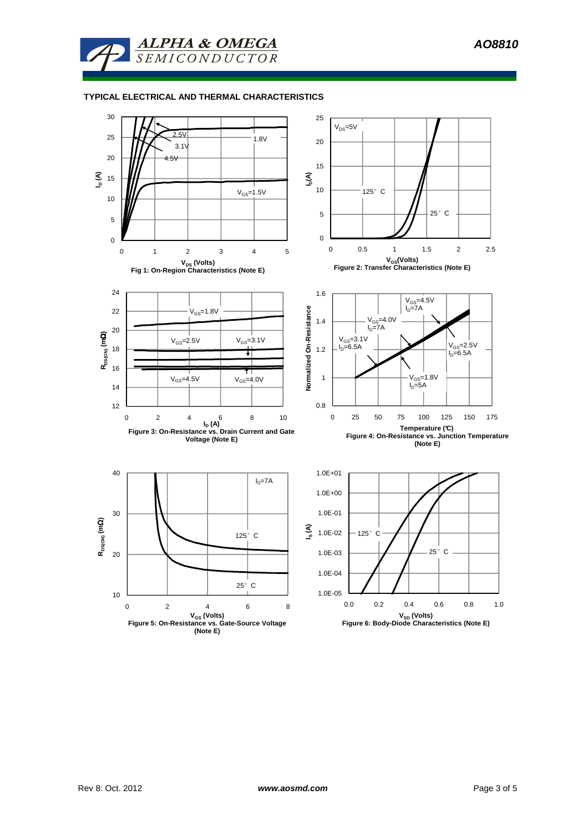

## **TYPICAL ELECTRICAL AND THERMAL CHARACTERISTICS**

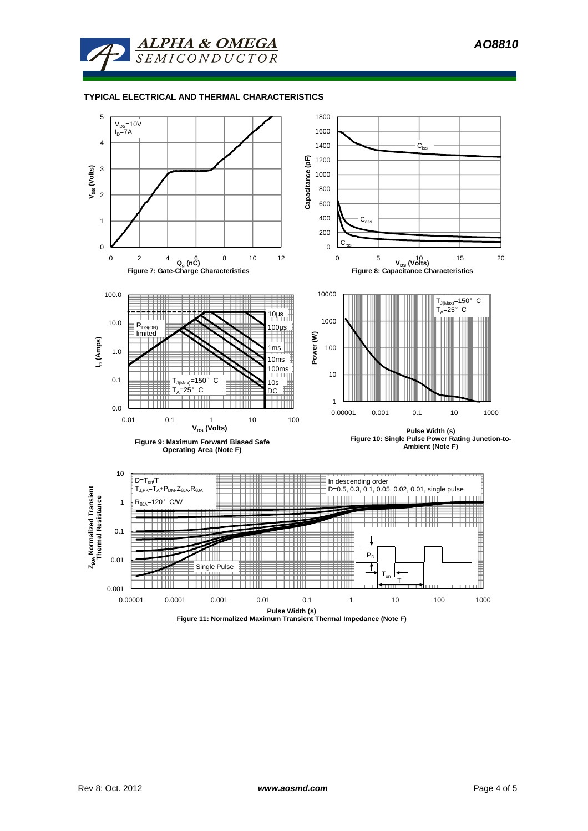

## **TYPICAL ELECTRICAL AND THERMAL CHARACTERISTICS**